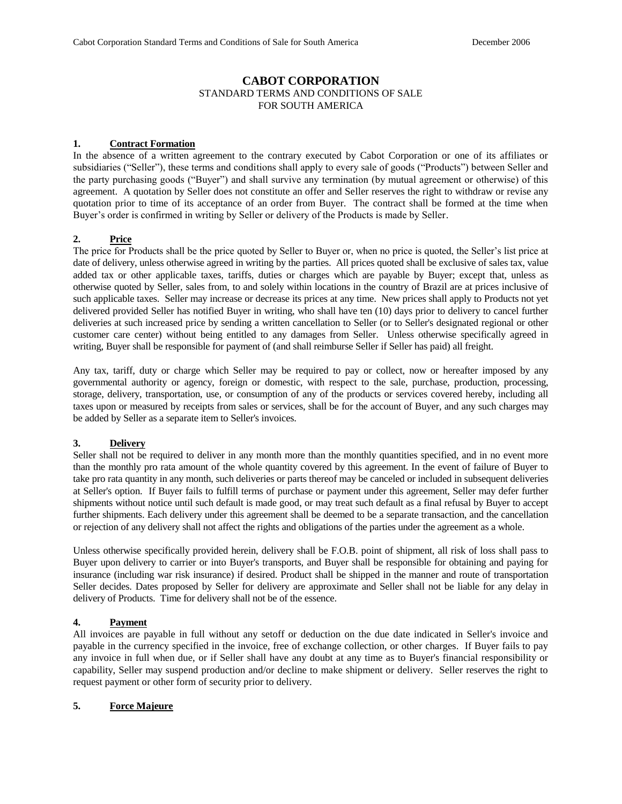# **CABOT CORPORATION**

STANDARD TERMS AND CONDITIONS OF SALE FOR SOUTH AMERICA

#### **1. Contract Formation**

In the absence of a written agreement to the contrary executed by Cabot Corporation or one of its affiliates or subsidiaries ("Seller"), these terms and conditions shall apply to every sale of goods ("Products") between Seller and the party purchasing goods ("Buyer") and shall survive any termination (by mutual agreement or otherwise) of this agreement. A quotation by Seller does not constitute an offer and Seller reserves the right to withdraw or revise any quotation prior to time of its acceptance of an order from Buyer. The contract shall be formed at the time when Buyer's order is confirmed in writing by Seller or delivery of the Products is made by Seller.

## **2. Price**

The price for Products shall be the price quoted by Seller to Buyer or, when no price is quoted, the Seller's list price at date of delivery, unless otherwise agreed in writing by the parties. All prices quoted shall be exclusive of sales tax, value added tax or other applicable taxes, tariffs, duties or charges which are payable by Buyer; except that, unless as otherwise quoted by Seller, sales from, to and solely within locations in the country of Brazil are at prices inclusive of such applicable taxes. Seller may increase or decrease its prices at any time. New prices shall apply to Products not yet delivered provided Seller has notified Buyer in writing, who shall have ten (10) days prior to delivery to cancel further deliveries at such increased price by sending a written cancellation to Seller (or to Seller's designated regional or other customer care center) without being entitled to any damages from Seller. Unless otherwise specifically agreed in writing, Buyer shall be responsible for payment of (and shall reimburse Seller if Seller has paid) all freight.

Any tax, tariff, duty or charge which Seller may be required to pay or collect, now or hereafter imposed by any governmental authority or agency, foreign or domestic, with respect to the sale, purchase, production, processing, storage, delivery, transportation, use, or consumption of any of the products or services covered hereby, including all taxes upon or measured by receipts from sales or services, shall be for the account of Buyer, and any such charges may be added by Seller as a separate item to Seller's invoices.

# **3. Delivery**

Seller shall not be required to deliver in any month more than the monthly quantities specified, and in no event more than the monthly pro rata amount of the whole quantity covered by this agreement. In the event of failure of Buyer to take pro rata quantity in any month, such deliveries or parts thereof may be canceled or included in subsequent deliveries at Seller's option. If Buyer fails to fulfill terms of purchase or payment under this agreement, Seller may defer further shipments without notice until such default is made good, or may treat such default as a final refusal by Buyer to accept further shipments. Each delivery under this agreement shall be deemed to be a separate transaction, and the cancellation or rejection of any delivery shall not affect the rights and obligations of the parties under the agreement as a whole.

Unless otherwise specifically provided herein, delivery shall be F.O.B. point of shipment, all risk of loss shall pass to Buyer upon delivery to carrier or into Buyer's transports, and Buyer shall be responsible for obtaining and paying for insurance (including war risk insurance) if desired. Product shall be shipped in the manner and route of transportation Seller decides. Dates proposed by Seller for delivery are approximate and Seller shall not be liable for any delay in delivery of Products. Time for delivery shall not be of the essence.

# **4. Payment**

All invoices are payable in full without any setoff or deduction on the due date indicated in Seller's invoice and payable in the currency specified in the invoice, free of exchange collection, or other charges. If Buyer fails to pay any invoice in full when due, or if Seller shall have any doubt at any time as to Buyer's financial responsibility or capability, Seller may suspend production and/or decline to make shipment or delivery. Seller reserves the right to request payment or other form of security prior to delivery.

# **5. Force Majeure**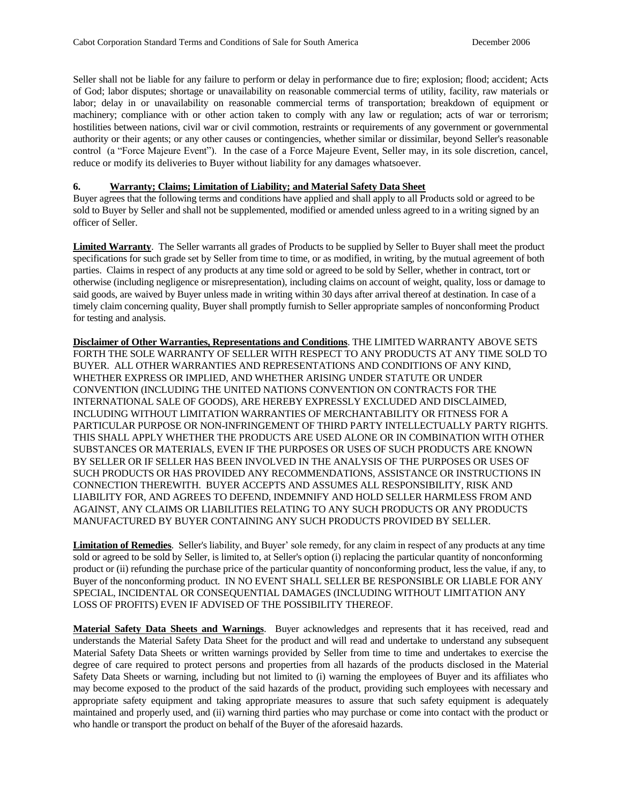Seller shall not be liable for any failure to perform or delay in performance due to fire; explosion; flood; accident; Acts of God; labor disputes; shortage or unavailability on reasonable commercial terms of utility, facility, raw materials or labor; delay in or unavailability on reasonable commercial terms of transportation; breakdown of equipment or machinery; compliance with or other action taken to comply with any law or regulation; acts of war or terrorism; hostilities between nations, civil war or civil commotion, restraints or requirements of any government or governmental authority or their agents; or any other causes or contingencies, whether similar or dissimilar, beyond Seller's reasonable control (a "Force Majeure Event"). In the case of a Force Majeure Event, Seller may, in its sole discretion, cancel, reduce or modify its deliveries to Buyer without liability for any damages whatsoever.

### **6. Warranty; Claims; Limitation of Liability; and Material Safety Data Sheet**

Buyer agrees that the following terms and conditions have applied and shall apply to all Products sold or agreed to be sold to Buyer by Seller and shall not be supplemented, modified or amended unless agreed to in a writing signed by an officer of Seller.

**Limited Warranty**. The Seller warrants all grades of Products to be supplied by Seller to Buyer shall meet the product specifications for such grade set by Seller from time to time, or as modified, in writing, by the mutual agreement of both parties. Claims in respect of any products at any time sold or agreed to be sold by Seller, whether in contract, tort or otherwise (including negligence or misrepresentation), including claims on account of weight, quality, loss or damage to said goods, are waived by Buyer unless made in writing within 30 days after arrival thereof at destination. In case of a timely claim concerning quality, Buyer shall promptly furnish to Seller appropriate samples of nonconforming Product for testing and analysis.

**Disclaimer of Other Warranties, Representations and Conditions**. THE LIMITED WARRANTY ABOVE SETS FORTH THE SOLE WARRANTY OF SELLER WITH RESPECT TO ANY PRODUCTS AT ANY TIME SOLD TO BUYER. ALL OTHER WARRANTIES AND REPRESENTATIONS AND CONDITIONS OF ANY KIND, WHETHER EXPRESS OR IMPLIED, AND WHETHER ARISING UNDER STATUTE OR UNDER CONVENTION (INCLUDING THE UNITED NATIONS CONVENTION ON CONTRACTS FOR THE INTERNATIONAL SALE OF GOODS), ARE HEREBY EXPRESSLY EXCLUDED AND DISCLAIMED, INCLUDING WITHOUT LIMITATION WARRANTIES OF MERCHANTABILITY OR FITNESS FOR A PARTICULAR PURPOSE OR NON-INFRINGEMENT OF THIRD PARTY INTELLECTUALLY PARTY RIGHTS. THIS SHALL APPLY WHETHER THE PRODUCTS ARE USED ALONE OR IN COMBINATION WITH OTHER SUBSTANCES OR MATERIALS, EVEN IF THE PURPOSES OR USES OF SUCH PRODUCTS ARE KNOWN BY SELLER OR IF SELLER HAS BEEN INVOLVED IN THE ANALYSIS OF THE PURPOSES OR USES OF SUCH PRODUCTS OR HAS PROVIDED ANY RECOMMENDATIONS, ASSISTANCE OR INSTRUCTIONS IN CONNECTION THEREWITH. BUYER ACCEPTS AND ASSUMES ALL RESPONSIBILITY, RISK AND LIABILITY FOR, AND AGREES TO DEFEND, INDEMNIFY AND HOLD SELLER HARMLESS FROM AND AGAINST, ANY CLAIMS OR LIABILITIES RELATING TO ANY SUCH PRODUCTS OR ANY PRODUCTS MANUFACTURED BY BUYER CONTAINING ANY SUCH PRODUCTS PROVIDED BY SELLER.

**Limitation of Remedies**. Seller's liability, and Buyer' sole remedy, for any claim in respect of any products at any time sold or agreed to be sold by Seller, is limited to, at Seller's option (i) replacing the particular quantity of nonconforming product or (ii) refunding the purchase price of the particular quantity of nonconforming product, less the value, if any, to Buyer of the nonconforming product. IN NO EVENT SHALL SELLER BE RESPONSIBLE OR LIABLE FOR ANY SPECIAL, INCIDENTAL OR CONSEQUENTIAL DAMAGES (INCLUDING WITHOUT LIMITATION ANY LOSS OF PROFITS) EVEN IF ADVISED OF THE POSSIBILITY THEREOF.

**Material Safety Data Sheets and Warnings**. Buyer acknowledges and represents that it has received, read and understands the Material Safety Data Sheet for the product and will read and undertake to understand any subsequent Material Safety Data Sheets or written warnings provided by Seller from time to time and undertakes to exercise the degree of care required to protect persons and properties from all hazards of the products disclosed in the Material Safety Data Sheets or warning, including but not limited to (i) warning the employees of Buyer and its affiliates who may become exposed to the product of the said hazards of the product, providing such employees with necessary and appropriate safety equipment and taking appropriate measures to assure that such safety equipment is adequately maintained and properly used, and (ii) warning third parties who may purchase or come into contact with the product or who handle or transport the product on behalf of the Buyer of the aforesaid hazards.